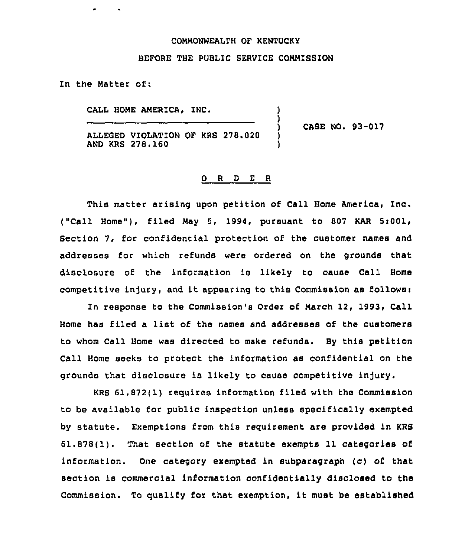## COMMONWEALTH OF KENTVCKY

## BEFORE THE PUBLIC SERVICE COMMISSION

) )

) 1

In the Matter of:

CALL HOME AMERICA, INC.

ALLEGED VIOLATION OF KRS 278.020 AND KRS 278.160

CASE NO. 93-017

## 0 <sup>R</sup> <sup>D</sup> E <sup>R</sup>

This matter arising upon petition of Call Home America, Inc. ("Call Home"), filed May 5, 1994, pursuant to 807 KAR  $5:001$ , Section 7, for confidential protection of the customer names and addresses for which refunds were ordered on the grounds that disclosure of the information is likely to cause Call Home competitive injury, and it appearing to this Commission as follows:

In response to the Commission's Order of March 12, 1993, Call Home has filed <sup>a</sup> list of the names and addresses of the customers to whom Call Home was directed to make refunds. By this petition Call Home seeks to protect the information as confidential on the grounds that disclosure is likely to cause competitive injury.

KRS 61.872(1) requires information filed with the Commission to be available for public inspection unless specifically exempted by statute. Exemptions from this requirement are provided in KRS 61.878(1). That section of the statute exempts 11 categories of information. One category exempted in subparagraph (c) of that section is commercial information confidentially disclosed to the Commission. To qualify for that exemption, it must be established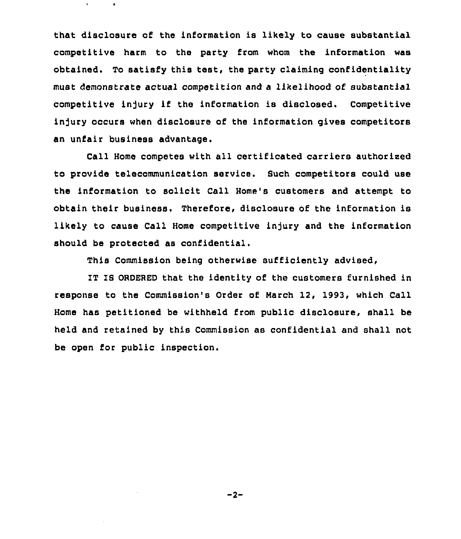that disclosure of the information is likely to cause substantial competitive harm to the party from whom the information was obtained. To satisfy this test, the party claiming confidentiality must demonstrate actual competition and a likelihood of substantial competitive injury if the information is disclosed. Competitive injury occurs when disclosure of the information gives competitors an unfair business advantage.

Call Home competes with all certificated carriers authorised to provide telecommunication service. Such competitors could use the information to solicit Call Home's customers and attempt to obtain their business. Therefore, disclosure of the information is likely to cause Call Home competitive injury and the information should be protected as confidential.

This Commission being otherwise sufficiently advised,

IT IS ORDERED that the identity of the customers furnished in response to the Commission's Order of March 12, 1993, which Call Home has petitioned be withheld from public disclosure, shall be held and retained by this Commission as confidential and shall not be open for public inspection.

 $-2-$